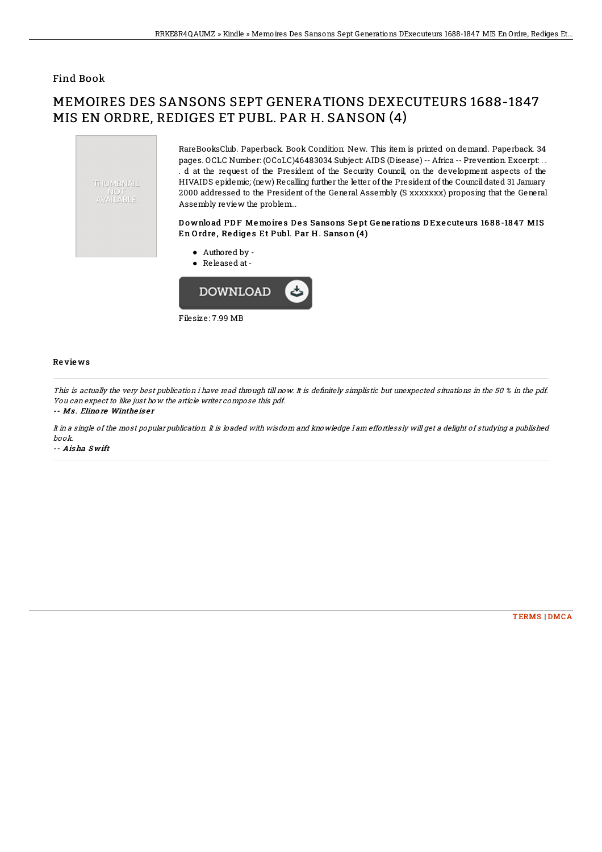## Find Book

# MEMOIRES DES SANSONS SEPT GENERATIONS DEXECUTEURS 1688-1847 MIS EN ORDRE, REDIGES ET PUBL. PAR H. SANSON (4)



RareBooksClub. Paperback. Book Condition: New. This item is printed on demand. Paperback. 34 pages. OCLC Number: (OCoLC)46483034 Subject: AIDS (Disease) -- Africa -- Prevention. Excerpt: . . . d at the request of the President of the Security Council, on the development aspects of the HIVAIDS epidemic; (new) Recalling further the letter of the President of the Council dated 31 January 2000 addressed to the President of the General Assembly (S xxxxxxx) proposing that the General Assembly review the problem...

### Download PDF Memoires Des Sansons Sept Generations DExecuteurs 1688-1847 MIS En Ordre, Rediges Et Publ. Par H. Sanson (4)

- Authored by Released at-
- 



#### Re vie ws

This is actually the very best publication i have read through till now. It is definitely simplistic but unexpected situations in the 50 % in the pdf. You can expect to like just how the article writer compose this pdf.

#### -- Ms. Elino re Wintheis er

It in <sup>a</sup> single of the most popular publication. It is loaded with wisdom and knowledge I am effortlessly will get <sup>a</sup> delight of studying <sup>a</sup> published book.

-- Ais ha S wift